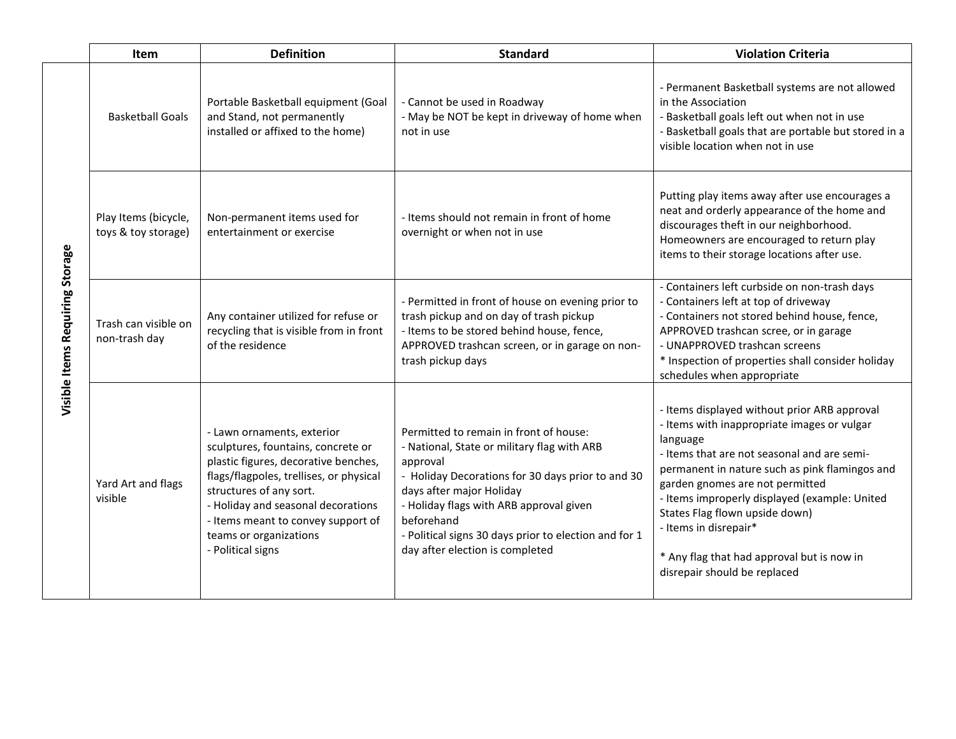|                                 | Item                                        | <b>Definition</b>                                                                                                                                                                                                                                                                                         | <b>Standard</b>                                                                                                                                                                                                                                                                                                                         | <b>Violation Criteria</b>                                                                                                                                                                                                                                                                                                                                                                                                             |
|---------------------------------|---------------------------------------------|-----------------------------------------------------------------------------------------------------------------------------------------------------------------------------------------------------------------------------------------------------------------------------------------------------------|-----------------------------------------------------------------------------------------------------------------------------------------------------------------------------------------------------------------------------------------------------------------------------------------------------------------------------------------|---------------------------------------------------------------------------------------------------------------------------------------------------------------------------------------------------------------------------------------------------------------------------------------------------------------------------------------------------------------------------------------------------------------------------------------|
| Visible Items Requiring Storage | <b>Basketball Goals</b>                     | Portable Basketball equipment (Goal<br>and Stand, not permanently<br>installed or affixed to the home)                                                                                                                                                                                                    | - Cannot be used in Roadway<br>- May be NOT be kept in driveway of home when<br>not in use                                                                                                                                                                                                                                              | - Permanent Basketball systems are not allowed<br>in the Association<br>- Basketball goals left out when not in use<br>- Basketball goals that are portable but stored in a<br>visible location when not in use                                                                                                                                                                                                                       |
|                                 | Play Items (bicycle,<br>toys & toy storage) | Non-permanent items used for<br>entertainment or exercise                                                                                                                                                                                                                                                 | - Items should not remain in front of home<br>overnight or when not in use                                                                                                                                                                                                                                                              | Putting play items away after use encourages a<br>neat and orderly appearance of the home and<br>discourages theft in our neighborhood.<br>Homeowners are encouraged to return play<br>items to their storage locations after use.                                                                                                                                                                                                    |
|                                 | Trash can visible on<br>non-trash day       | Any container utilized for refuse or<br>recycling that is visible from in front<br>of the residence                                                                                                                                                                                                       | - Permitted in front of house on evening prior to<br>trash pickup and on day of trash pickup<br>- Items to be stored behind house, fence,<br>APPROVED trashcan screen, or in garage on non-<br>trash pickup days                                                                                                                        | - Containers left curbside on non-trash days<br>- Containers left at top of driveway<br>- Containers not stored behind house, fence,<br>APPROVED trashcan scree, or in garage<br>- UNAPPROVED trashcan screens<br>* Inspection of properties shall consider holiday<br>schedules when appropriate                                                                                                                                     |
|                                 | Yard Art and flags<br>visible               | - Lawn ornaments, exterior<br>sculptures, fountains, concrete or<br>plastic figures, decorative benches,<br>flags/flagpoles, trellises, or physical<br>structures of any sort.<br>- Holiday and seasonal decorations<br>- Items meant to convey support of<br>teams or organizations<br>- Political signs | Permitted to remain in front of house:<br>- National, State or military flag with ARB<br>approval<br>- Holiday Decorations for 30 days prior to and 30<br>days after major Holiday<br>- Holiday flags with ARB approval given<br>beforehand<br>- Political signs 30 days prior to election and for 1<br>day after election is completed | - Items displayed without prior ARB approval<br>- Items with inappropriate images or vulgar<br>language<br>- Items that are not seasonal and are semi-<br>permanent in nature such as pink flamingos and<br>garden gnomes are not permitted<br>- Items improperly displayed (example: United<br>States Flag flown upside down)<br>- Items in disrepair*<br>* Any flag that had approval but is now in<br>disrepair should be replaced |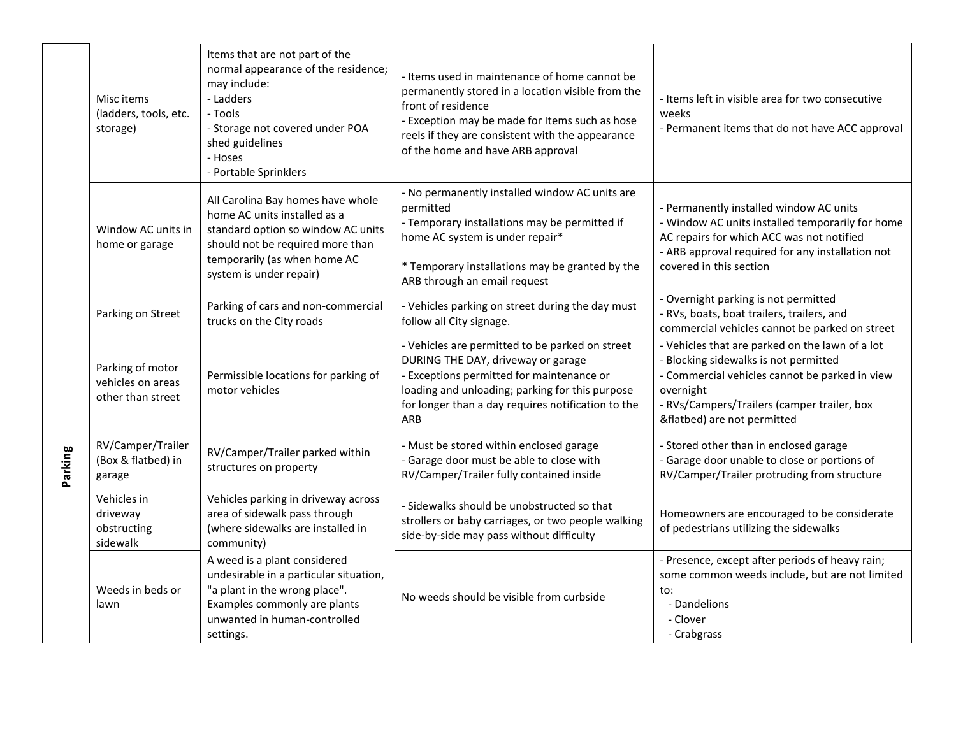|         | Misc items<br>(ladders, tools, etc.<br>storage)            | Items that are not part of the<br>normal appearance of the residence;<br>may include:<br>- Ladders<br>- Tools<br>- Storage not covered under POA<br>shed guidelines<br>- Hoses<br>- Portable Sprinklers | - Items used in maintenance of home cannot be<br>permanently stored in a location visible from the<br>front of residence<br>- Exception may be made for Items such as hose<br>reels if they are consistent with the appearance<br>of the home and have ARB approval | - Items left in visible area for two consecutive<br>weeks<br>- Permanent items that do not have ACC approval                                                                                                                          |
|---------|------------------------------------------------------------|---------------------------------------------------------------------------------------------------------------------------------------------------------------------------------------------------------|---------------------------------------------------------------------------------------------------------------------------------------------------------------------------------------------------------------------------------------------------------------------|---------------------------------------------------------------------------------------------------------------------------------------------------------------------------------------------------------------------------------------|
|         | Window AC units in<br>home or garage                       | All Carolina Bay homes have whole<br>home AC units installed as a<br>standard option so window AC units<br>should not be required more than<br>temporarily (as when home AC<br>system is under repair)  | - No permanently installed window AC units are<br>permitted<br>- Temporary installations may be permitted if<br>home AC system is under repair*<br>* Temporary installations may be granted by the<br>ARB through an email request                                  | - Permanently installed window AC units<br>- Window AC units installed temporarily for home<br>AC repairs for which ACC was not notified<br>- ARB approval required for any installation not<br>covered in this section               |
|         | Parking on Street                                          | Parking of cars and non-commercial<br>trucks on the City roads                                                                                                                                          | - Vehicles parking on street during the day must<br>follow all City signage.                                                                                                                                                                                        | - Overnight parking is not permitted<br>- RVs, boats, boat trailers, trailers, and<br>commercial vehicles cannot be parked on street                                                                                                  |
| Parking | Parking of motor<br>vehicles on areas<br>other than street | Permissible locations for parking of<br>motor vehicles                                                                                                                                                  | - Vehicles are permitted to be parked on street<br>DURING THE DAY, driveway or garage<br>- Exceptions permitted for maintenance or<br>loading and unloading; parking for this purpose<br>for longer than a day requires notification to the<br>ARB                  | - Vehicles that are parked on the lawn of a lot<br>- Blocking sidewalks is not permitted<br>- Commercial vehicles cannot be parked in view<br>overnight<br>- RVs/Campers/Trailers (camper trailer, box<br>&flatbed) are not permitted |
|         | RV/Camper/Trailer<br>(Box & flatbed) in<br>garage          | RV/Camper/Trailer parked within<br>structures on property                                                                                                                                               | - Must be stored within enclosed garage<br>- Garage door must be able to close with<br>RV/Camper/Trailer fully contained inside                                                                                                                                     | - Stored other than in enclosed garage<br>- Garage door unable to close or portions of<br>RV/Camper/Trailer protruding from structure                                                                                                 |
|         | Vehicles in<br>driveway<br>obstructing<br>sidewalk         | Vehicles parking in driveway across<br>area of sidewalk pass through<br>(where sidewalks are installed in<br>community)                                                                                 | - Sidewalks should be unobstructed so that<br>strollers or baby carriages, or two people walking<br>side-by-side may pass without difficulty                                                                                                                        | Homeowners are encouraged to be considerate<br>of pedestrians utilizing the sidewalks                                                                                                                                                 |
|         | Weeds in beds or<br>lawn                                   | A weed is a plant considered<br>undesirable in a particular situation,<br>"a plant in the wrong place".<br>Examples commonly are plants<br>unwanted in human-controlled<br>settings.                    | No weeds should be visible from curbside                                                                                                                                                                                                                            | - Presence, except after periods of heavy rain;<br>some common weeds include, but are not limited<br>to:<br>- Dandelions<br>- Clover<br>- Crabgrass                                                                                   |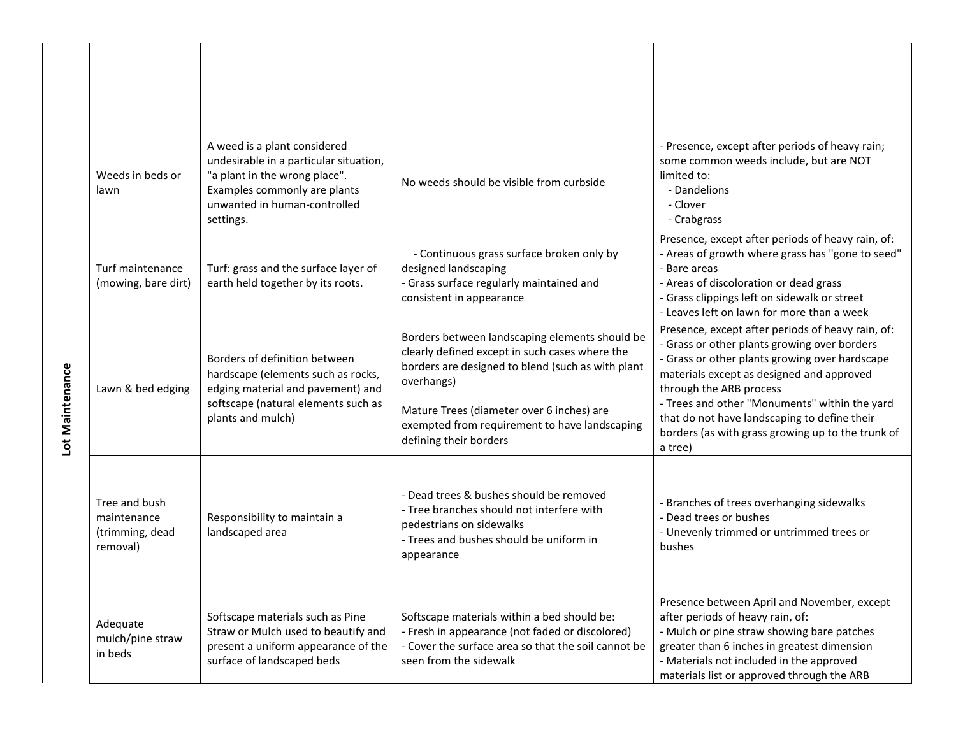| Lot Maintenance | Weeds in beds or<br>lawn                                    | A weed is a plant considered<br>undesirable in a particular situation,<br>"a plant in the wrong place".<br>Examples commonly are plants<br>unwanted in human-controlled<br>settings. | No weeds should be visible from curbside                                                                                                                                                                                                                                                    | - Presence, except after periods of heavy rain;<br>some common weeds include, but are NOT<br>limited to:<br>- Dandelions<br>- Clover<br>- Crabgrass                                                                                                                                                                                                                                          |
|-----------------|-------------------------------------------------------------|--------------------------------------------------------------------------------------------------------------------------------------------------------------------------------------|---------------------------------------------------------------------------------------------------------------------------------------------------------------------------------------------------------------------------------------------------------------------------------------------|----------------------------------------------------------------------------------------------------------------------------------------------------------------------------------------------------------------------------------------------------------------------------------------------------------------------------------------------------------------------------------------------|
|                 | Turf maintenance<br>(mowing, bare dirt)                     | Turf: grass and the surface layer of<br>earth held together by its roots.                                                                                                            | - Continuous grass surface broken only by<br>designed landscaping<br>- Grass surface regularly maintained and<br>consistent in appearance                                                                                                                                                   | Presence, except after periods of heavy rain, of:<br>- Areas of growth where grass has "gone to seed"<br>- Bare areas<br>- Areas of discoloration or dead grass<br>- Grass clippings left on sidewalk or street<br>- Leaves left on lawn for more than a week                                                                                                                                |
|                 | Lawn & bed edging                                           | Borders of definition between<br>hardscape (elements such as rocks,<br>edging material and pavement) and<br>softscape (natural elements such as<br>plants and mulch)                 | Borders between landscaping elements should be<br>clearly defined except in such cases where the<br>borders are designed to blend (such as with plant<br>overhangs)<br>Mature Trees (diameter over 6 inches) are<br>exempted from requirement to have landscaping<br>defining their borders | Presence, except after periods of heavy rain, of:<br>- Grass or other plants growing over borders<br>- Grass or other plants growing over hardscape<br>materials except as designed and approved<br>through the ARB process<br>- Trees and other "Monuments" within the yard<br>that do not have landscaping to define their<br>borders (as with grass growing up to the trunk of<br>a tree) |
|                 | Tree and bush<br>maintenance<br>(trimming, dead<br>removal) | Responsibility to maintain a<br>landscaped area                                                                                                                                      | - Dead trees & bushes should be removed<br>- Tree branches should not interfere with<br>pedestrians on sidewalks<br>- Trees and bushes should be uniform in<br>appearance                                                                                                                   | - Branches of trees overhanging sidewalks<br>- Dead trees or bushes<br>- Unevenly trimmed or untrimmed trees or<br>bushes                                                                                                                                                                                                                                                                    |
|                 | Adequate<br>mulch/pine straw<br>in beds                     | Softscape materials such as Pine<br>Straw or Mulch used to beautify and<br>present a uniform appearance of the<br>surface of landscaped beds                                         | Softscape materials within a bed should be:<br>- Fresh in appearance (not faded or discolored)<br>- Cover the surface area so that the soil cannot be<br>seen from the sidewalk                                                                                                             | Presence between April and November, except<br>after periods of heavy rain, of:<br>- Mulch or pine straw showing bare patches<br>greater than 6 inches in greatest dimension<br>- Materials not included in the approved<br>materials list or approved through the ARB                                                                                                                       |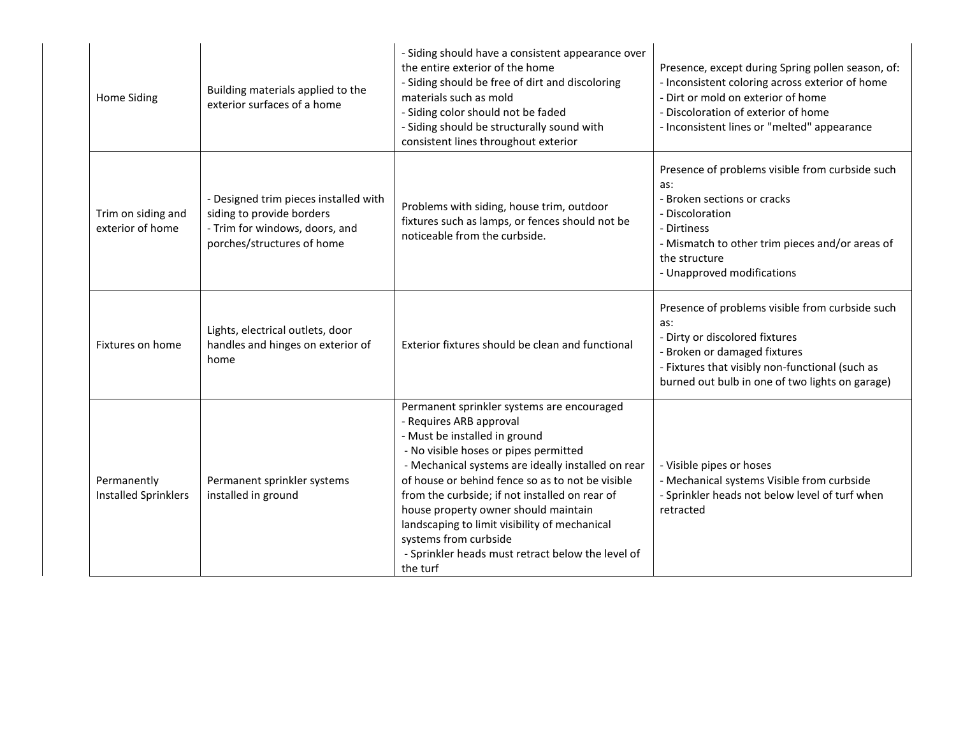| Home Siding                                | Building materials applied to the<br>exterior surfaces of a home                                                                   | - Siding should have a consistent appearance over<br>the entire exterior of the home<br>- Siding should be free of dirt and discoloring<br>materials such as mold<br>- Siding color should not be faded<br>- Siding should be structurally sound with<br>consistent lines throughout exterior                                                                                                                                                                                                  | Presence, except during Spring pollen season, of:<br>- Inconsistent coloring across exterior of home<br>- Dirt or mold on exterior of home<br>- Discoloration of exterior of home<br>- Inconsistent lines or "melted" appearance |
|--------------------------------------------|------------------------------------------------------------------------------------------------------------------------------------|------------------------------------------------------------------------------------------------------------------------------------------------------------------------------------------------------------------------------------------------------------------------------------------------------------------------------------------------------------------------------------------------------------------------------------------------------------------------------------------------|----------------------------------------------------------------------------------------------------------------------------------------------------------------------------------------------------------------------------------|
| Trim on siding and<br>exterior of home     | - Designed trim pieces installed with<br>siding to provide borders<br>- Trim for windows, doors, and<br>porches/structures of home | Problems with siding, house trim, outdoor<br>fixtures such as lamps, or fences should not be<br>noticeable from the curbside.                                                                                                                                                                                                                                                                                                                                                                  | Presence of problems visible from curbside such<br>as:<br>- Broken sections or cracks<br>- Discoloration<br>- Dirtiness<br>- Mismatch to other trim pieces and/or areas of<br>the structure<br>- Unapproved modifications        |
| Fixtures on home                           | Lights, electrical outlets, door<br>handles and hinges on exterior of<br>home                                                      | Exterior fixtures should be clean and functional                                                                                                                                                                                                                                                                                                                                                                                                                                               | Presence of problems visible from curbside such<br>as:<br>- Dirty or discolored fixtures<br>- Broken or damaged fixtures<br>- Fixtures that visibly non-functional (such as<br>burned out bulb in one of two lights on garage)   |
| Permanently<br><b>Installed Sprinklers</b> | Permanent sprinkler systems<br>installed in ground                                                                                 | Permanent sprinkler systems are encouraged<br>- Requires ARB approval<br>- Must be installed in ground<br>- No visible hoses or pipes permitted<br>- Mechanical systems are ideally installed on rear<br>of house or behind fence so as to not be visible<br>from the curbside; if not installed on rear of<br>house property owner should maintain<br>landscaping to limit visibility of mechanical<br>systems from curbside<br>- Sprinkler heads must retract below the level of<br>the turf | - Visible pipes or hoses<br>- Mechanical systems Visible from curbside<br>- Sprinkler heads not below level of turf when<br>retracted                                                                                            |